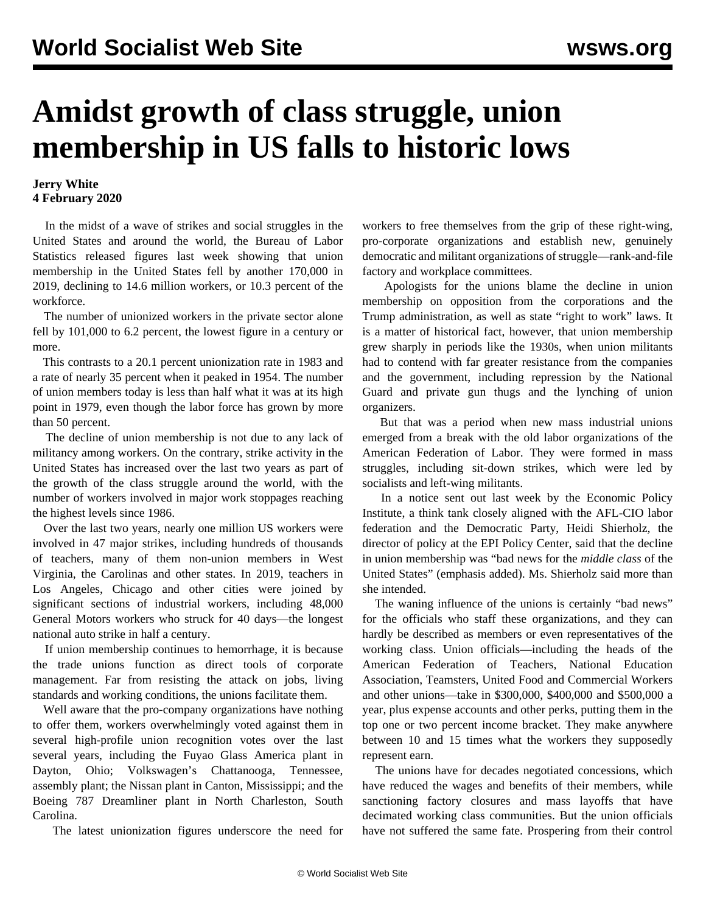## **Amidst growth of class struggle, union membership in US falls to historic lows**

## **Jerry White 4 February 2020**

 In the midst of a wave of strikes and social struggles in the United States and around the world, the Bureau of Labor Statistics released figures last week showing that union membership in the United States fell by another 170,000 in 2019, declining to 14.6 million workers, or 10.3 percent of the workforce.

 The number of unionized workers in the private sector alone fell by 101,000 to 6.2 percent, the lowest figure in a century or more.

 This contrasts to a 20.1 percent unionization rate in 1983 and a rate of nearly 35 percent when it peaked in 1954. The number of union members today is less than half what it was at its high point in 1979, even though the labor force has grown by more than 50 percent.

 The decline of union membership is not due to any lack of militancy among workers. On the contrary, strike activity in the United States has increased over the last two years as part of the growth of the class struggle around the world, with the number of workers involved in major work stoppages reaching the highest levels since 1986.

 Over the last two years, nearly one million US workers were involved in 47 major strikes, including hundreds of thousands of teachers, many of them non-union members in West Virginia, the Carolinas and other states. In 2019, teachers in Los Angeles, Chicago and other cities were joined by significant sections of industrial workers, including 48,000 General Motors workers who struck for 40 days—the longest national auto strike in half a century.

 If union membership continues to hemorrhage, it is because the trade unions function as direct tools of corporate management. Far from resisting the attack on jobs, living standards and working conditions, the unions facilitate them.

 Well aware that the pro-company organizations have nothing to offer them, workers overwhelmingly voted against them in several high-profile union recognition votes over the last several years, including the Fuyao Glass America plant in Dayton, Ohio; Volkswagen's Chattanooga, Tennessee, assembly plant; the Nissan plant in Canton, Mississippi; and the Boeing 787 Dreamliner plant in North Charleston, South Carolina.

The latest unionization figures underscore the need for

workers to free themselves from the grip of these right-wing, pro-corporate organizations and establish new, genuinely democratic and militant organizations of struggle—rank-and-file factory and workplace committees.

 Apologists for the unions blame the decline in union membership on opposition from the corporations and the Trump administration, as well as state "right to work" laws. It is a matter of historical fact, however, that union membership grew sharply in periods like the 1930s, when union militants had to contend with far greater resistance from the companies and the government, including repression by the National Guard and private gun thugs and the lynching of union organizers.

 But that was a period when new mass industrial unions emerged from a break with the old labor organizations of the American Federation of Labor. They were formed in mass struggles, including sit-down strikes, which were led by socialists and left-wing militants.

 In a notice sent out last week by the Economic Policy Institute, a think tank closely aligned with the AFL-CIO labor federation and the Democratic Party, Heidi Shierholz, the director of policy at the EPI Policy Center, said that the decline in union membership was "bad news for the *middle class* of the United States" (emphasis added). Ms. Shierholz said more than she intended.

 The waning influence of the unions is certainly "bad news" for the officials who staff these organizations, and they can hardly be described as members or even representatives of the working class. Union officials—including the heads of the American Federation of Teachers, National Education Association, Teamsters, United Food and Commercial Workers and other unions—take in \$300,000, \$400,000 and \$500,000 a year, plus expense accounts and other perks, putting them in the top one or two percent income bracket. They make anywhere between 10 and 15 times what the workers they supposedly represent earn.

 The unions have for decades negotiated concessions, which have reduced the wages and benefits of their members, while sanctioning factory closures and mass layoffs that have decimated working class communities. But the union officials have not suffered the same fate. Prospering from their control